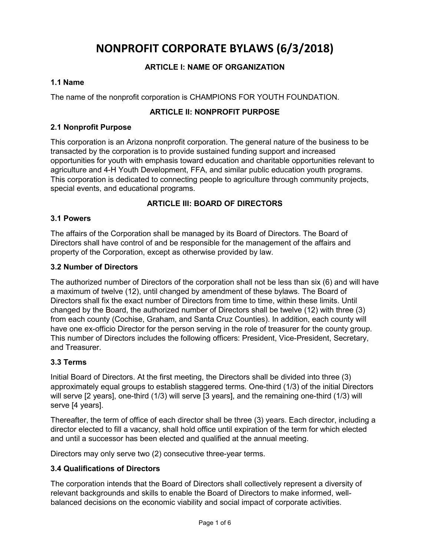# **NONPROFIT CORPORATE BYLAWS (6/3/2018)**

# **ARTICLE I: NAME OF ORGANIZATION**

## **1.1 Name**

The name of the nonprofit corporation is CHAMPIONS FOR YOUTH FOUNDATION.

## **ARTICLE II: NONPROFIT PURPOSE**

## **2.1 Nonprofit Purpose**

This corporation is an Arizona nonprofit corporation. The general nature of the business to be transacted by the corporation is to provide sustained funding support and increased opportunities for youth with emphasis toward education and charitable opportunities relevant to agriculture and 4-H Youth Development, FFA, and similar public education youth programs. This corporation is dedicated to connecting people to agriculture through community projects, special events, and educational programs.

## **ARTICLE III: BOARD OF DIRECTORS**

## **3.1 Powers**

The affairs of the Corporation shall be managed by its Board of Directors. The Board of Directors shall have control of and be responsible for the management of the affairs and property of the Corporation, except as otherwise provided by law.

## **3.2 Number of Directors**

The authorized number of Directors of the corporation shall not be less than six (6) and will have a maximum of twelve (12), until changed by amendment of these bylaws. The Board of Directors shall fix the exact number of Directors from time to time, within these limits. Until changed by the Board, the authorized number of Directors shall be twelve (12) with three (3) from each county (Cochise, Graham, and Santa Cruz Counties). In addition, each county will have one ex-officio Director for the person serving in the role of treasurer for the county group. This number of Directors includes the following officers: President, Vice-President, Secretary, and Treasurer.

## **3.3 Terms**

Initial Board of Directors. At the first meeting, the Directors shall be divided into three (3) approximately equal groups to establish staggered terms. One-third (1/3) of the initial Directors will serve [2 years], one-third (1/3) will serve [3 years], and the remaining one-third (1/3) will serve [4 years].

Thereafter, the term of office of each director shall be three (3) years. Each director, including a director elected to fill a vacancy, shall hold office until expiration of the term for which elected and until a successor has been elected and qualified at the annual meeting.

Directors may only serve two (2) consecutive three-year terms.

## **3.4 Qualifications of Directors**

The corporation intends that the Board of Directors shall collectively represent a diversity of relevant backgrounds and skills to enable the Board of Directors to make informed, wellbalanced decisions on the economic viability and social impact of corporate activities.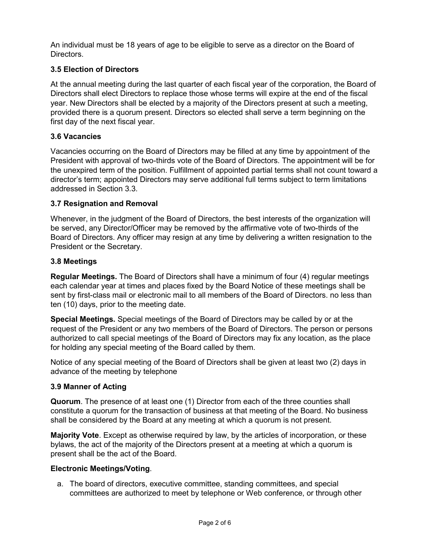An individual must be 18 years of age to be eligible to serve as a director on the Board of **Directors** 

# **3.5 Election of Directors**

At the annual meeting during the last quarter of each fiscal year of the corporation, the Board of Directors shall elect Directors to replace those whose terms will expire at the end of the fiscal year. New Directors shall be elected by a majority of the Directors present at such a meeting, provided there is a quorum present. Directors so elected shall serve a term beginning on the first day of the next fiscal year.

## **3.6 Vacancies**

Vacancies occurring on the Board of Directors may be filled at any time by appointment of the President with approval of two-thirds vote of the Board of Directors. The appointment will be for the unexpired term of the position. Fulfillment of appointed partial terms shall not count toward a director's term; appointed Directors may serve additional full terms subject to term limitations addressed in Section 3.3.

## **3.7 Resignation and Removal**

Whenever, in the judgment of the Board of Directors, the best interests of the organization will be served, any Director/Officer may be removed by the affirmative vote of two-thirds of the Board of Directors. Any officer may resign at any time by delivering a written resignation to the President or the Secretary.

#### **3.8 Meetings**

**Regular Meetings.** The Board of Directors shall have a minimum of four (4) regular meetings each calendar year at times and places fixed by the Board Notice of these meetings shall be sent by first-class mail or electronic mail to all members of the Board of Directors. no less than ten (10) days, prior to the meeting date.

**Special Meetings.** Special meetings of the Board of Directors may be called by or at the request of the President or any two members of the Board of Directors. The person or persons authorized to call special meetings of the Board of Directors may fix any location, as the place for holding any special meeting of the Board called by them.

Notice of any special meeting of the Board of Directors shall be given at least two (2) days in advance of the meeting by telephone

## **3.9 Manner of Acting**

**Quorum**. The presence of at least one (1) Director from each of the three counties shall constitute a quorum for the transaction of business at that meeting of the Board. No business shall be considered by the Board at any meeting at which a quorum is not present.

**Majority Vote**. Except as otherwise required by law, by the articles of incorporation, or these bylaws, the act of the majority of the Directors present at a meeting at which a quorum is present shall be the act of the Board.

## **Electronic Meetings/Voting**.

a. The board of directors, executive committee, standing committees, and special committees are authorized to meet by telephone or Web conference, or through other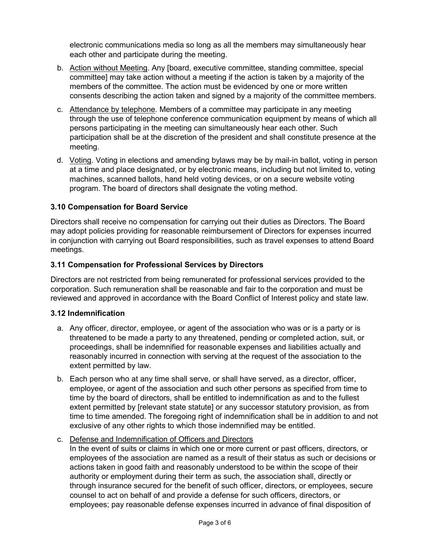electronic communications media so long as all the members may simultaneously hear each other and participate during the meeting.

- b. Action without Meeting. Any [board, executive committee, standing committee, special committee] may take action without a meeting if the action is taken by a majority of the members of the committee. The action must be evidenced by one or more written consents describing the action taken and signed by a majority of the committee members.
- c. Attendance by telephone. Members of a committee may participate in any meeting through the use of telephone conference communication equipment by means of which all persons participating in the meeting can simultaneously hear each other. Such participation shall be at the discretion of the president and shall constitute presence at the meeting.
- d. Voting. Voting in elections and amending bylaws may be by mail-in ballot, voting in person at a time and place designated, or by electronic means, including but not limited to, voting machines, scanned ballots, hand held voting devices, or on a secure website voting program. The board of directors shall designate the voting method.

# **3.10 Compensation for Board Service**

Directors shall receive no compensation for carrying out their duties as Directors. The Board may adopt policies providing for reasonable reimbursement of Directors for expenses incurred in conjunction with carrying out Board responsibilities, such as travel expenses to attend Board meetings.

# **3.11 Compensation for Professional Services by Directors**

Directors are not restricted from being remunerated for professional services provided to the corporation. Such remuneration shall be reasonable and fair to the corporation and must be reviewed and approved in accordance with the Board Conflict of Interest policy and state law.

# **3.12 Indemnification**

- a. Any officer, director, employee, or agent of the association who was or is a party or is threatened to be made a party to any threatened, pending or completed action, suit, or proceedings, shall be indemnified for reasonable expenses and liabilities actually and reasonably incurred in connection with serving at the request of the association to the extent permitted by law.
- b. Each person who at any time shall serve, or shall have served, as a director, officer, employee, or agent of the association and such other persons as specified from time to time by the board of directors, shall be entitled to indemnification as and to the fullest extent permitted by [relevant state statute] or any successor statutory provision, as from time to time amended. The foregoing right of indemnification shall be in addition to and not exclusive of any other rights to which those indemnified may be entitled.

# c. Defense and Indemnification of Officers and Directors

In the event of suits or claims in which one or more current or past officers, directors, or employees of the association are named as a result of their status as such or decisions or actions taken in good faith and reasonably understood to be within the scope of their authority or employment during their term as such, the association shall, directly or through insurance secured for the benefit of such officer, directors, or employees, secure counsel to act on behalf of and provide a defense for such officers, directors, or employees; pay reasonable defense expenses incurred in advance of final disposition of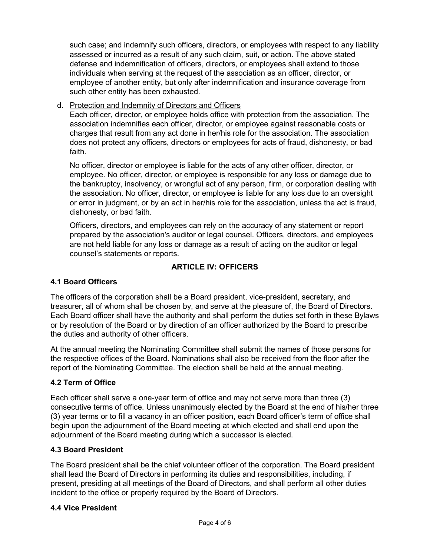such case; and indemnify such officers, directors, or employees with respect to any liability assessed or incurred as a result of any such claim, suit, or action. The above stated defense and indemnification of officers, directors, or employees shall extend to those individuals when serving at the request of the association as an officer, director, or employee of another entity, but only after indemnification and insurance coverage from such other entity has been exhausted.

## d. Protection and Indemnity of Directors and Officers

Each officer, director, or employee holds office with protection from the association. The association indemnifies each officer, director, or employee against reasonable costs or charges that result from any act done in her/his role for the association. The association does not protect any officers, directors or employees for acts of fraud, dishonesty, or bad faith.

No officer, director or employee is liable for the acts of any other officer, director, or employee. No officer, director, or employee is responsible for any loss or damage due to the bankruptcy, insolvency, or wrongful act of any person, firm, or corporation dealing with the association. No officer, director, or employee is liable for any loss due to an oversight or error in judgment, or by an act in her/his role for the association, unless the act is fraud, dishonesty, or bad faith.

Officers, directors, and employees can rely on the accuracy of any statement or report prepared by the association's auditor or legal counsel. Officers, directors, and employees are not held liable for any loss or damage as a result of acting on the auditor or legal counsel's statements or reports.

# **ARTICLE IV: OFFICERS**

## **4.1 Board Officers**

The officers of the corporation shall be a Board president, vice-president, secretary, and treasurer, all of whom shall be chosen by, and serve at the pleasure of, the Board of Directors. Each Board officer shall have the authority and shall perform the duties set forth in these Bylaws or by resolution of the Board or by direction of an officer authorized by the Board to prescribe the duties and authority of other officers.

At the annual meeting the Nominating Committee shall submit the names of those persons for the respective offices of the Board. Nominations shall also be received from the floor after the report of the Nominating Committee. The election shall be held at the annual meeting.

## **4.2 Term of Office**

Each officer shall serve a one-year term of office and may not serve more than three (3) consecutive terms of office. Unless unanimously elected by the Board at the end of his/her three (3) year terms or to fill a vacancy in an officer position, each Board officer's term of office shall begin upon the adjournment of the Board meeting at which elected and shall end upon the adjournment of the Board meeting during which a successor is elected.

## **4.3 Board President**

The Board president shall be the chief volunteer officer of the corporation. The Board president shall lead the Board of Directors in performing its duties and responsibilities, including, if present, presiding at all meetings of the Board of Directors, and shall perform all other duties incident to the office or properly required by the Board of Directors.

## **4.4 Vice President**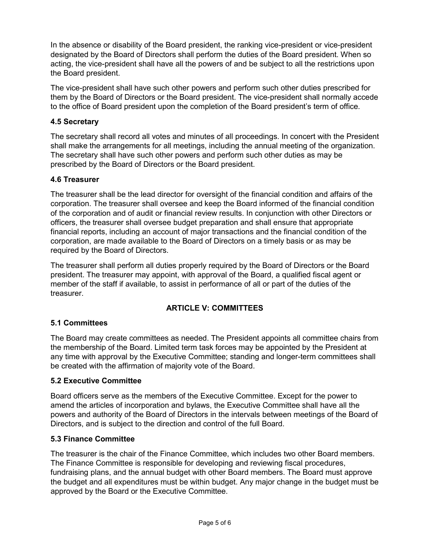In the absence or disability of the Board president, the ranking vice-president or vice-president designated by the Board of Directors shall perform the duties of the Board president. When so acting, the vice-president shall have all the powers of and be subject to all the restrictions upon the Board president.

The vice-president shall have such other powers and perform such other duties prescribed for them by the Board of Directors or the Board president. The vice-president shall normally accede to the office of Board president upon the completion of the Board president's term of office.

# **4.5 Secretary**

The secretary shall record all votes and minutes of all proceedings. In concert with the President shall make the arrangements for all meetings, including the annual meeting of the organization. The secretary shall have such other powers and perform such other duties as may be prescribed by the Board of Directors or the Board president.

# **4.6 Treasurer**

The treasurer shall be the lead director for oversight of the financial condition and affairs of the corporation. The treasurer shall oversee and keep the Board informed of the financial condition of the corporation and of audit or financial review results. In conjunction with other Directors or officers, the treasurer shall oversee budget preparation and shall ensure that appropriate financial reports, including an account of major transactions and the financial condition of the corporation, are made available to the Board of Directors on a timely basis or as may be required by the Board of Directors.

The treasurer shall perform all duties properly required by the Board of Directors or the Board president. The treasurer may appoint, with approval of the Board, a qualified fiscal agent or member of the staff if available, to assist in performance of all or part of the duties of the treasurer.

# **ARTICLE V: COMMITTEES**

# **5.1 Committees**

The Board may create committees as needed. The President appoints all committee chairs from the membership of the Board. Limited term task forces may be appointed by the President at any time with approval by the Executive Committee; standing and longer-term committees shall be created with the affirmation of majority vote of the Board.

# **5.2 Executive Committee**

Board officers serve as the members of the Executive Committee. Except for the power to amend the articles of incorporation and bylaws, the Executive Committee shall have all the powers and authority of the Board of Directors in the intervals between meetings of the Board of Directors, and is subject to the direction and control of the full Board.

# **5.3 Finance Committee**

The treasurer is the chair of the Finance Committee, which includes two other Board members. The Finance Committee is responsible for developing and reviewing fiscal procedures, fundraising plans, and the annual budget with other Board members. The Board must approve the budget and all expenditures must be within budget. Any major change in the budget must be approved by the Board or the Executive Committee.